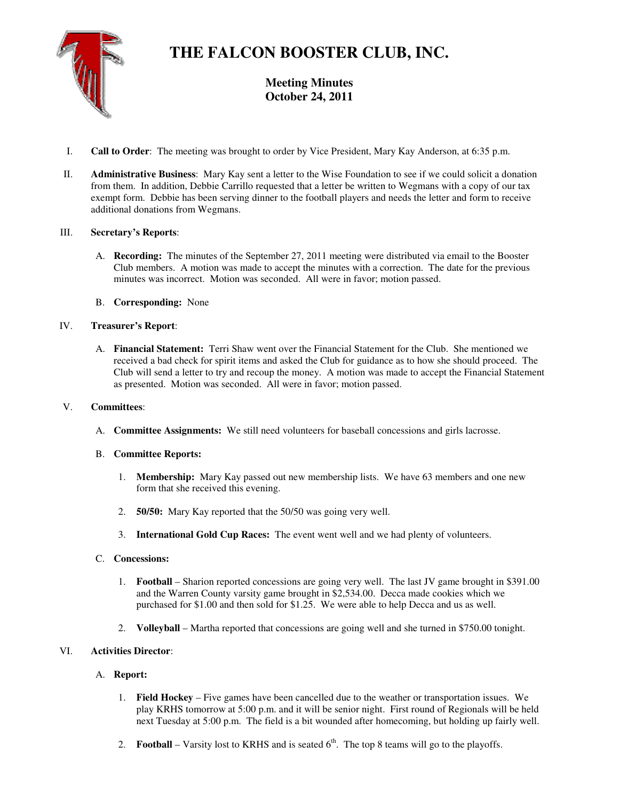

# **THE FALCON BOOSTER CLUB, INC.**

**Meeting Minutes October 24, 2011** 

- I. **Call to Order**: The meeting was brought to order by Vice President, Mary Kay Anderson, at 6:35 p.m.
- II. **Administrative Business**: Mary Kay sent a letter to the Wise Foundation to see if we could solicit a donation from them. In addition, Debbie Carrillo requested that a letter be written to Wegmans with a copy of our tax exempt form. Debbie has been serving dinner to the football players and needs the letter and form to receive additional donations from Wegmans.

## III. **Secretary's Reports**:

- A. **Recording:** The minutes of the September 27, 2011 meeting were distributed via email to the Booster Club members. A motion was made to accept the minutes with a correction. The date for the previous minutes was incorrect. Motion was seconded. All were in favor; motion passed.
- B. **Corresponding:** None

## IV. **Treasurer's Report**:

A. **Financial Statement:** Terri Shaw went over the Financial Statement for the Club. She mentioned we received a bad check for spirit items and asked the Club for guidance as to how she should proceed. The Club will send a letter to try and recoup the money. A motion was made to accept the Financial Statement as presented. Motion was seconded. All were in favor; motion passed.

## V. **Committees**:

A. **Committee Assignments:** We still need volunteers for baseball concessions and girls lacrosse.

## B. **Committee Reports:**

- 1. **Membership:** Mary Kay passed out new membership lists. We have 63 members and one new form that she received this evening.
- 2. **50/50:** Mary Kay reported that the 50/50 was going very well.
- 3. **International Gold Cup Races:** The event went well and we had plenty of volunteers.

## C. **Concessions:**

- 1. **Football** Sharion reported concessions are going very well. The last JV game brought in \$391.00 and the Warren County varsity game brought in \$2,534.00. Decca made cookies which we purchased for \$1.00 and then sold for \$1.25. We were able to help Decca and us as well.
- 2. **Volleyball** Martha reported that concessions are going well and she turned in \$750.00 tonight.

# VI. **Activities Director**:

# A. **Report:**

- 1. **Field Hockey** Five games have been cancelled due to the weather or transportation issues. We play KRHS tomorrow at 5:00 p.m. and it will be senior night. First round of Regionals will be held next Tuesday at 5:00 p.m. The field is a bit wounded after homecoming, but holding up fairly well.
- 2. **Football** Varsity lost to KRHS and is seated  $6<sup>th</sup>$ . The top 8 teams will go to the playoffs.